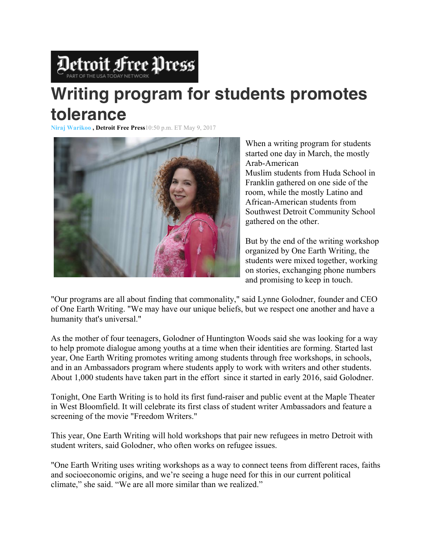

## **Writing program for students promotes tolerance**

**Niraj Warikoo , Detroit Free Press**10:50 p.m. ET May 9, 2017



When a writing program for students started one day in March, the mostly Arab-American Muslim students from Huda School in Franklin gathered on one side of the room, while the mostly Latino and African-American students from Southwest Detroit Community School gathered on the other.

But by the end of the writing workshop organized by One Earth Writing, the students were mixed together, working on stories, exchanging phone numbers and promising to keep in touch.

"Our programs are all about finding that commonality," said Lynne Golodner, founder and CEO of One Earth Writing. "We may have our unique beliefs, but we respect one another and have a humanity that's universal."

As the mother of four teenagers, Golodner of Huntington Woods said she was looking for a way to help promote dialogue among youths at a time when their identities are forming. Started last year, One Earth Writing promotes writing among students through free workshops, in schools, and in an Ambassadors program where students apply to work with writers and other students. About 1,000 students have taken part in the effort since it started in early 2016, said Golodner.

Tonight, One Earth Writing is to hold its first fund-raiser and public event at the Maple Theater in West Bloomfield. It will celebrate its first class of student writer Ambassadors and feature a screening of the movie "Freedom Writers."

This year, One Earth Writing will hold workshops that pair new refugees in metro Detroit with student writers, said Golodner, who often works on refugee issues.

"One Earth Writing uses writing workshops as a way to connect teens from different races, faiths and socioeconomic origins, and we're seeing a huge need for this in our current political climate," she said. "We are all more similar than we realized."